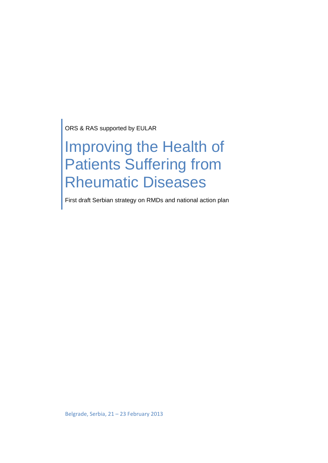ORS & RAS supported by EULAR

### Improving the Health of Patients Suffering from Rheumatic Diseases

First draft Serbian strategy on RMDs and national action plan

Belgrade, Serbia, 21 – 23 February 2013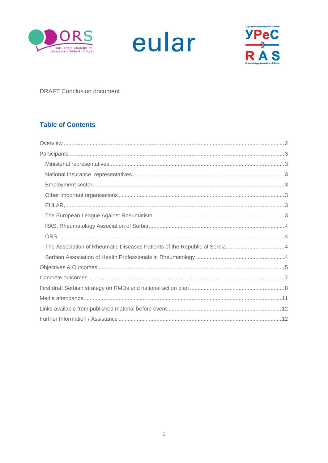





**DRAFT Conclusion document** 

#### **Table of Contents**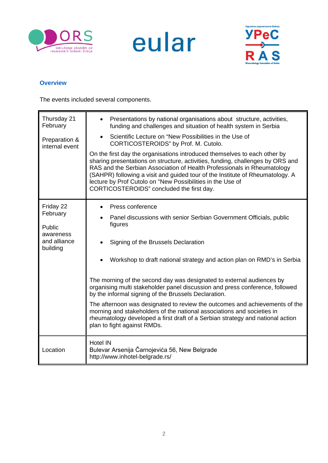





#### <span id="page-2-0"></span>**Overview**

The events included several components.

| Thursday 21<br>February<br>Preparation &<br>internal event               | Presentations by national organisations about structure, activities,<br>funding and challenges and situation of health system in Serbia<br>Scientific Lecture on "New Possibilities in the Use of<br>$\bullet$<br>CORTICOSTEROIDS" by Prof. M. Cutolo.<br>On the first day the organisations introduced themselves to each other by<br>sharing presentations on structure, activities, funding, challenges by ORS and<br>RAS and the Serbian Association of Health Professionals in Rheumatology<br>(SAHPR) following a visit and guided tour of the Institute of Rheumatology. A<br>lecture by Prof Cutolo on "New Possibilities in the Use of<br>CORTICOSTEROIDS" concluded the first day.                  |
|--------------------------------------------------------------------------|---------------------------------------------------------------------------------------------------------------------------------------------------------------------------------------------------------------------------------------------------------------------------------------------------------------------------------------------------------------------------------------------------------------------------------------------------------------------------------------------------------------------------------------------------------------------------------------------------------------------------------------------------------------------------------------------------------------|
| Friday 22<br>February<br>Public<br>awareness<br>and alliance<br>building | Press conference<br>Panel discussions with senior Serbian Government Officials, public<br>figures<br>Signing of the Brussels Declaration<br>Workshop to draft national strategy and action plan on RMD's in Serbia<br>The morning of the second day was designated to external audiences by<br>organising multi stakeholder panel discussion and press conference, followed<br>by the informal signing of the Brussels Declaration.<br>The afternoon was designated to review the outcomes and achievements of the<br>morning and stakeholders of the national associations and societies in<br>rheumatology developed a first draft of a Serbian strategy and national action<br>plan to fight against RMDs. |
| Location                                                                 | <b>Hotel IN</b><br>Bulevar Arsenija Čarnojevića 56, New Belgrade<br>http://www.inhotel-belgrade.rs/                                                                                                                                                                                                                                                                                                                                                                                                                                                                                                                                                                                                           |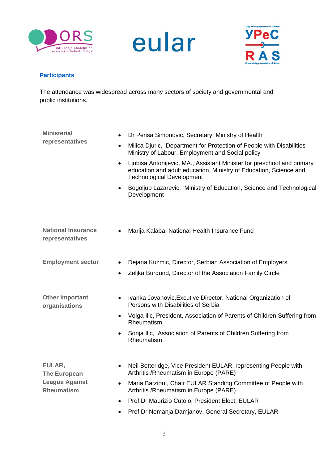





#### <span id="page-3-0"></span>**Participants**

The attendance was widespread across many sectors of society and governmental and public institutions.

<span id="page-3-6"></span><span id="page-3-5"></span><span id="page-3-4"></span><span id="page-3-3"></span><span id="page-3-2"></span><span id="page-3-1"></span>

| <b>Ministerial</b>                           | Dr Perisa Simonovic, Secretary, Ministry of Health                                                                                                                                           |
|----------------------------------------------|----------------------------------------------------------------------------------------------------------------------------------------------------------------------------------------------|
| representatives                              | Milica Djuric, Department for Protection of People with Disabilities<br>$\bullet$<br>Ministry of Labour, Employment and Social policy                                                        |
|                                              | Ljubisa Antonijevic, MA., Assistant Minister for preschool and primary<br>$\bullet$<br>education and adult education, Ministry of Education, Science and<br><b>Technological Development</b> |
|                                              | Bogoljub Lazarevic, Ministry of Education, Science and Technological<br>$\bullet$<br>Development                                                                                             |
| <b>National Insurance</b><br>representatives | Marija Kalaba, National Health Insurance Fund                                                                                                                                                |
| <b>Employment sector</b>                     | Dejana Kuzmic, Director, Serbian Association of Employers                                                                                                                                    |
|                                              | Zeljka Burgund, Director of the Association Family Circle<br>$\bullet$                                                                                                                       |
| <b>Other important</b><br>organisations      | Ivanka Jovanovic, Excutive Director, National Organization of<br>$\bullet$<br>Persons with Disabilities of Serbia                                                                            |
|                                              | Volga Ilic, President, Association of Parents of Children Suffering from<br>$\bullet$<br>Rheumatism                                                                                          |
|                                              | Sonja Ilic, Association of Parents of Children Suffering from<br>$\bullet$<br>Rheumatism                                                                                                     |
| EULAR,<br><b>The European</b>                | Neil Betteridge, Vice President EULAR, representing People with<br>Arthritis / Rheumatism in Europe (PARE)                                                                                   |
| <b>League Against</b><br><b>Rheumatism</b>   | Maria Batziou, Chair EULAR Standing Committee of People with<br>$\bullet$<br>Arthritis / Rheumatism in Europe (PARE)                                                                         |
|                                              | Prof Dr Maurizio Cutolo, President Elect, EULAR                                                                                                                                              |
|                                              | Prof Dr Nemanja Damjanov, General Secretary, EULAR<br>$\bullet$                                                                                                                              |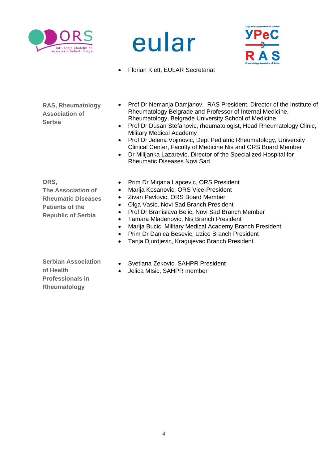





• Florian Klett, EULAR Secretariat

<span id="page-4-0"></span>**RAS, Rheumatology Association of Serbia**

- Prof Dr Nemanja Damjanov, RAS President, Director of the Institute of Rheumatology Belgrade and Professor of Internal Medicine, Rheumatology, Belgrade University School of Medicine
- Prof Dr Dusan Stefanovic, rheumatologist, Head Rheumatology Clinic, Military Medical Academy
- Prof Dr Jelena Vojinovic, Dept Pediatric Rheumatology, University Clinical Center, Faculty of Medicine Nis and ORS Board Member
- Dr Milijanka Lazarevic, Director of the Specialized Hospital for Rheumatic Diseases Novi Sad

<span id="page-4-2"></span><span id="page-4-1"></span>**ORS, The Association of Rheumatic Diseases Patients of the Republic of Serbia**

- Prim Dr Mirjana Lapcevic, ORS President
- Marija Kosanovic, ORS Vice-President
- Zivan Pavlovic, ORS Board Member
- Olga Vasic, Novi Sad Branch President
- Prof Dr Branislava Belic, Novi Sad Branch Member
- Tamara Mladenovic, Nis Branch President
- Marija Bucic, Military Medical Academy Branch President
- Prim Dr Danica Besevic, Uzice Branch President
- Tanja Djurdjevic, Kragujevac Branch President

<span id="page-4-3"></span>**Serbian Association of Health Professionals in Rheumatology**

- Svetlana Zekovic, SAHPR President
- Jelica MIsic, SAHPR member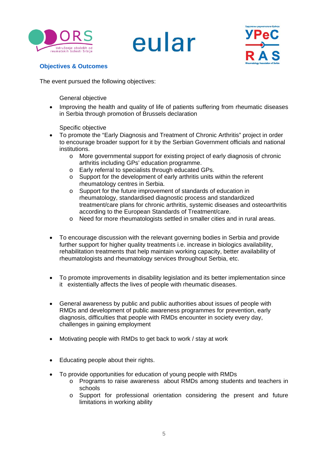

### eular



#### <span id="page-5-0"></span>**Objectives & Outcomes**

The event pursued the following objectives:

General objective

• Improving the health and quality of life of patients suffering from rheumatic diseases in Serbia through promotion of Brussels declaration

Specific objective

- To promote the "Early Diagnosis and Treatment of Chronic Arthritis" project in order to encourage broader support for it by the Serbian Government officials and national institutions.
	- o More governmental support for existing project of early diagnosis of chronic arthritis including GPs' education programme.
	- o Early referral to specialists through educated GPs.
	- o Support for the development of early arthritis units within the referent rheumatology centres in Serbia.
	- o Support for the future improvement of standards of education in rheumatology, standardised diagnostic process and standardized treatment/care plans for chronic arthritis, systemic diseases and osteoarthritis according to the European Standards of Treatment/care.
	- o Need for more rheumatologists settled in smaller cities and in rural areas.
- To encourage discussion with the relevant governing bodies in Serbia and provide further support for higher quality treatments i.e. increase in biologics availability, rehabilitation treatments that help maintain working capacity, better availability of rheumatologists and rheumatology services throughout Serbia, etc.
- To promote improvements in disability legislation and its better implementation since it existentially affects the lives of people with rheumatic diseases.
- General awareness by public and public authorities about issues of people with RMDs and development of public awareness programmes for prevention, early diagnosis, difficulties that people with RMDs encounter in society every day, challenges in gaining employment
- Motivating people with RMDs to get back to work / stay at work
- Educating people about their rights.
- To provide opportunities for education of young people with RMDs
	- o Programs to raise awareness about RMDs among students and teachers in schools
	- o Support for professional orientation considering the present and future limitations in working ability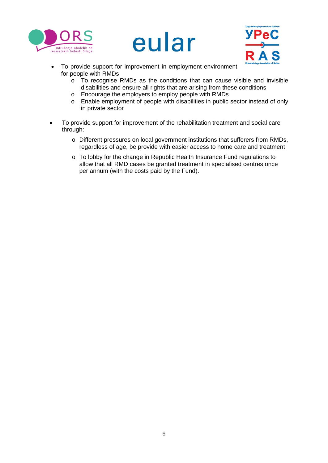





- To provide support for improvement in employment environment for people with RMDs
	- o To recognise RMDs as the conditions that can cause visible and invisible disabilities and ensure all rights that are arising from these conditions
	- o Encourage the employers to employ people with RMDs
	- o Enable employment of people with disabilities in public sector instead of only in private sector
- To provide support for improvement of the rehabilitation treatment and social care through:
	- o Different pressures on local government institutions that sufferers from RMDs, regardless of age, be provide with easier access to home care and treatment
	- o To lobby for the change in Republic Health Insurance Fund regulations to allow that all RMD cases be granted treatment in specialised centres once per annum (with the costs paid by the Fund).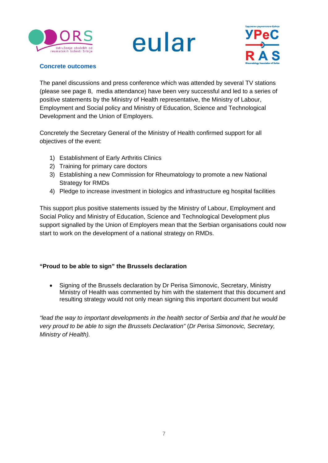





#### <span id="page-7-0"></span>**Concrete outcomes**

The panel discussions and press conference which was attended by several TV stations (please see page 8, media attendance) have been very successful and led to a series of positive statements by the Ministry of Health representative, the Ministry of Labour, Employment and Social policy and Ministry of Education, Science and Technological Development and the Union of Employers.

Concretely the Secretary General of the Ministry of Health confirmed support for all objectives of the event:

- 1) Establishment of Early Arthritis Clinics
- 2) Training for primary care doctors
- 3) Establishing a new Commission for Rheumatology to promote a new National Strategy for RMDs
- 4) Pledge to increase investment in biologics and infrastructure eg hospital facilities

This support plus positive statements issued by the Ministry of Labour, Employment and Social Policy and Ministry of Education, Science and Technological Development plus support signalled by the Union of Employers mean that the Serbian organisations could now start to work on the development of a national strategy on RMDs.

#### **"Proud to be able to sign" the Brussels declaration**

• Signing of the Brussels declaration by Dr Perisa Simonovic, Secretary, Ministry Ministry of Health was commented by him with the statement that this document and resulting strategy would not only mean signing this important document but would

*"lead the way to important developments in the health sector of Serbia and that he would be very proud to be able to sign the Brussels Declaration"* (*Dr Perisa Simonovic, Secretary, Ministry of Health).*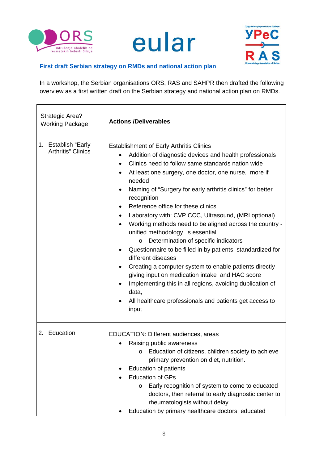





#### <span id="page-8-0"></span>**First draft Serbian strategy on RMDs and national action plan**

In a workshop, the Serbian organisations ORS, RAS and SAHPR then drafted the following overview as a first written draft on the Serbian strategy and national action plan on RMDs.

| <b>Strategic Area?</b><br><b>Working Package</b>  | <b>Actions /Deliverables</b>                                                                                                                                                                                                                                                                                                                                                                                                                                                                                                                                                                                                                                                                                                                                                                                                                                                                                                                     |
|---------------------------------------------------|--------------------------------------------------------------------------------------------------------------------------------------------------------------------------------------------------------------------------------------------------------------------------------------------------------------------------------------------------------------------------------------------------------------------------------------------------------------------------------------------------------------------------------------------------------------------------------------------------------------------------------------------------------------------------------------------------------------------------------------------------------------------------------------------------------------------------------------------------------------------------------------------------------------------------------------------------|
| 1. Establish "Early<br><b>Arthritis</b> " Clinics | <b>Establishment of Early Arthritis Clinics</b><br>Addition of diagnostic devices and health professionals<br>$\bullet$<br>Clinics need to follow same standards nation wide<br>$\bullet$<br>At least one surgery, one doctor, one nurse, more if<br>٠<br>needed<br>Naming of "Surgery for early arthritis clinics" for better<br>recognition<br>Reference office for these clinics<br>$\bullet$<br>Laboratory with: CVP CCC, Ultrasound, (MRI optional)<br>Working methods need to be aligned across the country -<br>unified methodology is essential<br>Determination of specific indicators<br>O<br>Questionnaire to be filled in by patients, standardized for<br>different diseases<br>Creating a computer system to enable patients directly<br>giving input on medication intake and HAC score<br>Implementing this in all regions, avoiding duplication of<br>data,<br>All healthcare professionals and patients get access to<br>input |
| 2. Education                                      | EDUCATION: Different audiences, areas<br>Raising public awareness<br>o Education of citizens, children society to achieve<br>primary prevention on diet, nutrition.<br><b>Education of patients</b><br><b>Education of GPs</b><br>Early recognition of system to come to educated<br>O<br>doctors, then referral to early diagnostic center to<br>rheumatologists without delay<br>Education by primary healthcare doctors, educated                                                                                                                                                                                                                                                                                                                                                                                                                                                                                                             |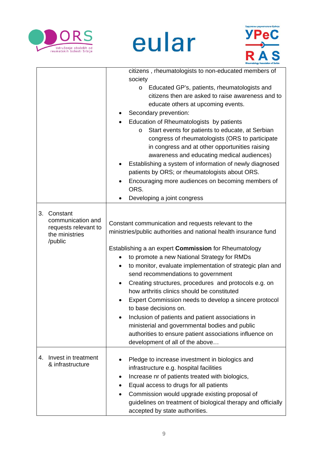

# eular



|    |                                                                                    | citizens, rheumatologists to non-educated members of<br>society<br>Educated GP's, patients, rheumatologists and<br>$\circ$<br>citizens then are asked to raise awareness and to<br>educate others at upcoming events.<br>Secondary prevention:<br>Education of Rheumatologists by patients<br>Start events for patients to educate, at Serbian<br>O<br>congress of rheumatologists (ORS to participate<br>in congress and at other opportunities raising<br>awareness and educating medical audiences)<br>Establishing a system of information of newly diagnosed<br>patients by ORS; or rheumatologists about ORS.<br>Encouraging more audiences on becoming members of<br>ORS.<br>Developing a joint congress                                                   |
|----|------------------------------------------------------------------------------------|-------------------------------------------------------------------------------------------------------------------------------------------------------------------------------------------------------------------------------------------------------------------------------------------------------------------------------------------------------------------------------------------------------------------------------------------------------------------------------------------------------------------------------------------------------------------------------------------------------------------------------------------------------------------------------------------------------------------------------------------------------------------|
| 3. | Constant<br>communication and<br>requests relevant to<br>the ministries<br>/public | Constant communication and requests relevant to the<br>ministries/public authorities and national health insurance fund<br>Establishing a an expert <b>Commission</b> for Rheumatology<br>to promote a new National Strategy for RMDs<br>to monitor, evaluate implementation of strategic plan and<br>$\bullet$<br>send recommendations to government<br>Creating structures, procedures and protocols e.g. on<br>$\bullet$<br>how arthritis clinics should be constituted<br>Expert Commission needs to develop a sincere protocol<br>to base decisions on.<br>Inclusion of patients and patient associations in<br>ministerial and governmental bodies and public<br>authorities to ensure patient associations influence on<br>development of all of the above |
| 4. | Invest in treatment<br>& infrastructure                                            | Pledge to increase investment in biologics and<br>infrastructure e.g. hospital facilities<br>Increase nr of patients treated with biologics,<br>٠<br>Equal access to drugs for all patients<br>Commission would upgrade existing proposal of<br>guidelines on treatment of biological therapy and officially<br>accepted by state authorities.                                                                                                                                                                                                                                                                                                                                                                                                                    |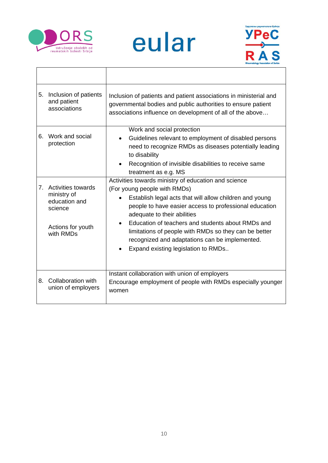

# eular



| Inclusion of patients<br>5.<br>and patient<br>associations                                                   | Inclusion of patients and patient associations in ministerial and<br>governmental bodies and public authorities to ensure patient<br>associations influence on development of all of the above                                                                                                                                                                                                                                                               |
|--------------------------------------------------------------------------------------------------------------|--------------------------------------------------------------------------------------------------------------------------------------------------------------------------------------------------------------------------------------------------------------------------------------------------------------------------------------------------------------------------------------------------------------------------------------------------------------|
| Work and social<br>6.<br>protection                                                                          | Work and social protection<br>Guidelines relevant to employment of disabled persons<br>need to recognize RMDs as diseases potentially leading<br>to disability<br>Recognition of invisible disabilities to receive same<br>treatment as e.g. MS                                                                                                                                                                                                              |
| 7.<br><b>Activities towards</b><br>ministry of<br>education and<br>science<br>Actions for youth<br>with RMDs | Activities towards ministry of education and science<br>(For young people with RMDs)<br>Establish legal acts that will allow children and young<br>people to have easier access to professional education<br>adequate to their abilities<br>Education of teachers and students about RMDs and<br>$\bullet$<br>limitations of people with RMDs so they can be better<br>recognized and adaptations can be implemented.<br>Expand existing legislation to RMDs |
| Collaboration with<br>8.<br>union of employers                                                               | Instant collaboration with union of employers<br>Encourage employment of people with RMDs especially younger<br>women                                                                                                                                                                                                                                                                                                                                        |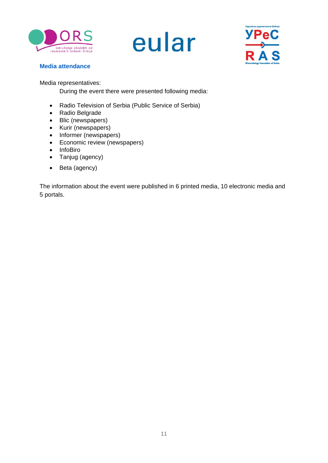





#### <span id="page-11-0"></span>**Media attendance**

Media representatives:

During the event there were presented following media:

- Radio Television of Serbia (Public Service of Serbia)
- Radio Belgrade
- Blic (newspapers)
- Kurir (newspapers)
- Informer (newspapers)
- Economic review (newspapers)
- InfoBiro
- Tanjug (agency)
- Beta (agency)

The information about the event were published in 6 printed media, 10 electronic media and 5 portals.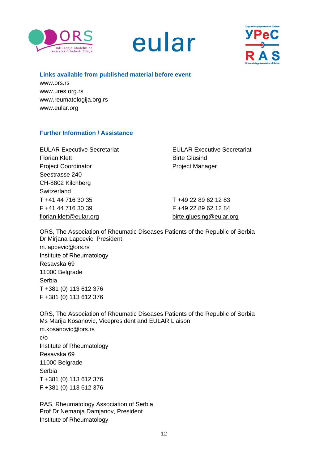





#### <span id="page-12-0"></span>**Links available from published material before event**

www.ors.rs www.ures.org.rs www.reumatologija.org.rs www.eular.org

#### <span id="page-12-1"></span>**Further Information / Assistance**

Florian Klett **Birte Glüsind** Project Coordinator **Project Manager** Seestrasse 240 CH-8802 Kilchberg Switzerland T +41 44 716 30 35 T +49 22 89 62 12 83 F +41 44 716 30 39 F +49 22 89 62 12 84 [florian.klett@eular.org](mailto:florian.klett@eular.org) [birte.gluesing@eular.org](mailto:birte.gluesing@eular.org)

EULAR Executive Secretariat EULAR Executive Secretariat

ORS, The Association of Rheumatic Diseases Patients of the Republic of Serbia Dr Mirjana Lapcevic, President [m.lapcevic@ors.rs](mailto:m.lapcevic@ors.rs) Institute of Rheumatology Resavska 69 11000 Belgrade Serbia T +381 (0) 113 612 376 F +381 (0) 113 612 376

ORS, The Association of Rheumatic Diseases Patients of the Republic of Serbia Ms Marija Kosanovic, Vicepresident and EULAR Liaison [m.kosanovic@ors.rs](mailto:m.kosanovic@ors.rs) c/o Institute of Rheumatology Resavska 69 11000 Belgrade Serbia T +381 (0) 113 612 376 F +381 (0) 113 612 376

RAS, Rheumatology Association of Serbia Prof Dr Nemanja Damjanov, President Institute of Rheumatology